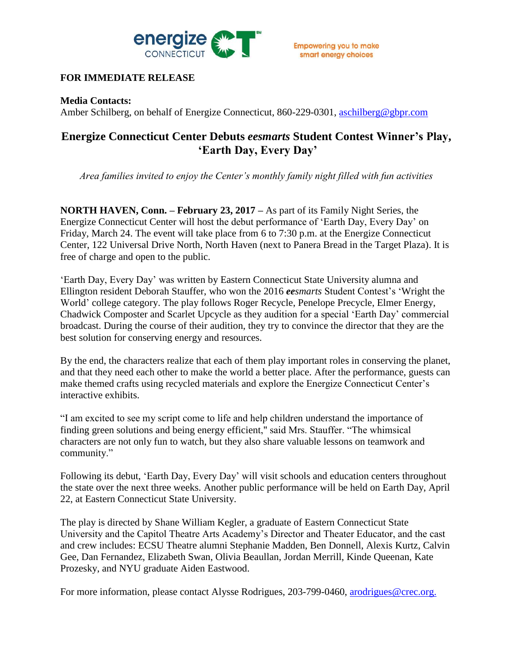

## **FOR IMMEDIATE RELEASE**

### **Media Contacts:**

Amber Schilberg, on behalf of Energize Connecticut, 860-229-0301, [aschilberg@gbpr.com](mailto:aschilberg@gbpr.com)

# **Energize Connecticut Center Debuts** *eesmarts* **Student Contest Winner's Play, 'Earth Day, Every Day'**

*Area families invited to enjoy the Center's monthly family night filled with fun activities*

**NORTH HAVEN, Conn. – February 23, 2017 –** As part of its Family Night Series, the Energize Connecticut Center will host the debut performance of 'Earth Day, Every Day' on Friday, March 24. The event will take place from 6 to 7:30 p.m. at the Energize Connecticut Center, 122 Universal Drive North, North Haven (next to Panera Bread in the Target Plaza). It is free of charge and open to the public.

'Earth Day, Every Day' was written by Eastern Connecticut State University alumna and Ellington resident Deborah Stauffer, who won the 2016 *eesmarts* Student Contest's 'Wright the World' college category. The play follows Roger Recycle, Penelope Precycle, Elmer Energy, Chadwick Composter and Scarlet Upcycle as they audition for a special 'Earth Day' commercial broadcast. During the course of their audition, they try to convince the director that they are the best solution for conserving energy and resources.

By the end, the characters realize that each of them play important roles in conserving the planet, and that they need each other to make the world a better place. After the performance, guests can make themed crafts using recycled materials and explore the Energize Connecticut Center's interactive exhibits.

"I am excited to see my script come to life and help children understand the importance of finding green solutions and being energy efficient," said Mrs. Stauffer. "The whimsical characters are not only fun to watch, but they also share valuable lessons on teamwork and community."

Following its debut, 'Earth Day, Every Day' will visit schools and education centers throughout the state over the next three weeks. Another public performance will be held on Earth Day, April 22, at Eastern Connecticut State University.

The play is directed by Shane William Kegler, a graduate of Eastern Connecticut State University and the Capitol Theatre Arts Academy's Director and Theater Educator, and the cast and crew includes: ECSU Theatre alumni Stephanie Madden, Ben Donnell, Alexis Kurtz, Calvin Gee, Dan Fernandez, Elizabeth Swan, Olivia Beaullan, Jordan Merrill, Kinde Queenan, Kate Prozesky, and NYU graduate Aiden Eastwood.

For more information, please contact Alysse Rodrigues, 203-799-0460, [arodrigues@crec.org.](mailto:arodrigues@crec.org)